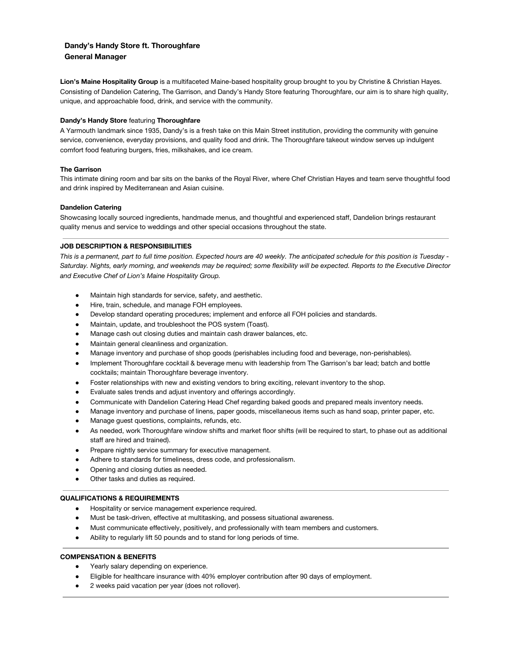# **Dandy's Handy Store ft. Thoroughfare General Manager**

**Lion's Maine Hospitality Group** is a multifaceted Maine-based hospitality group brought to you by Christine & Christian Hayes. Consisting of Dandelion Catering, The Garrison, and Dandy's Handy Store featuring Thoroughfare, our aim is to share high quality, unique, and approachable food, drink, and service with the community.

# **Dandy's Handy Store** featuring **Thoroughfare**

A Yarmouth landmark since 1935, Dandy's is a fresh take on this Main Street institution, providing the community with genuine service, convenience, everyday provisions, and quality food and drink. The Thoroughfare takeout window serves up indulgent comfort food featuring burgers, fries, milkshakes, and ice cream.

# **The Garrison**

This intimate dining room and bar sits on the banks of the Royal River, where Chef Christian Hayes and team serve thoughtful food and drink inspired by Mediterranean and Asian cuisine.

### **Dandelion Catering**

Showcasing locally sourced ingredients, handmade menus, and thoughtful and experienced staff, Dandelion brings restaurant quality menus and service to weddings and other special occasions throughout the state.

### **JOB DESCRIPTION & RESPONSIBILITIES**

This is a permanent, part to full time position. Expected hours are 40 weekly. The anticipated schedule for this position is Tuesday -Saturday. Nights, early morning, and weekends may be required; some flexibility will be expected. Reports to the Executive Director *and Executive Chef of Lion's Maine Hospitality Group.*

- Maintain high standards for service, safety, and aesthetic.
- Hire, train, schedule, and manage FOH employees.
- Develop standard operating procedures; implement and enforce all FOH policies and standards.
- Maintain, update, and troubleshoot the POS system (Toast).
- Manage cash out closing duties and maintain cash drawer balances, etc.
- Maintain general cleanliness and organization.
- Manage inventory and purchase of shop goods (perishables including food and beverage, non-perishables).
- Implement Thoroughfare cocktail & beverage menu with leadership from The Garrison's bar lead; batch and bottle cocktails; maintain Thoroughfare beverage inventory.
- Foster relationships with new and existing vendors to bring exciting, relevant inventory to the shop.
- Evaluate sales trends and adjust inventory and offerings accordingly.
- Communicate with Dandelion Catering Head Chef regarding baked goods and prepared meals inventory needs.
- Manage inventory and purchase of linens, paper goods, miscellaneous items such as hand soap, printer paper, etc.
- Manage guest questions, complaints, refunds, etc.
- As needed, work Thoroughfare window shifts and market floor shifts (will be required to start, to phase out as additional staff are hired and trained).
- Prepare nightly service summary for executive management.
- Adhere to standards for timeliness, dress code, and professionalism.
- Opening and closing duties as needed.
- Other tasks and duties as required.

### **QUALIFICATIONS & REQUIREMENTS**

- Hospitality or service management experience required.
- Must be task-driven, effective at multitasking, and possess situational awareness.
- Must communicate effectively, positively, and professionally with team members and customers.
- Ability to regularly lift 50 pounds and to stand for long periods of time.

# **COMPENSATION & BENEFITS**

- Yearly salary depending on experience.
- Eligible for healthcare insurance with 40% employer contribution after 90 days of employment.
- 2 weeks paid vacation per year (does not rollover).